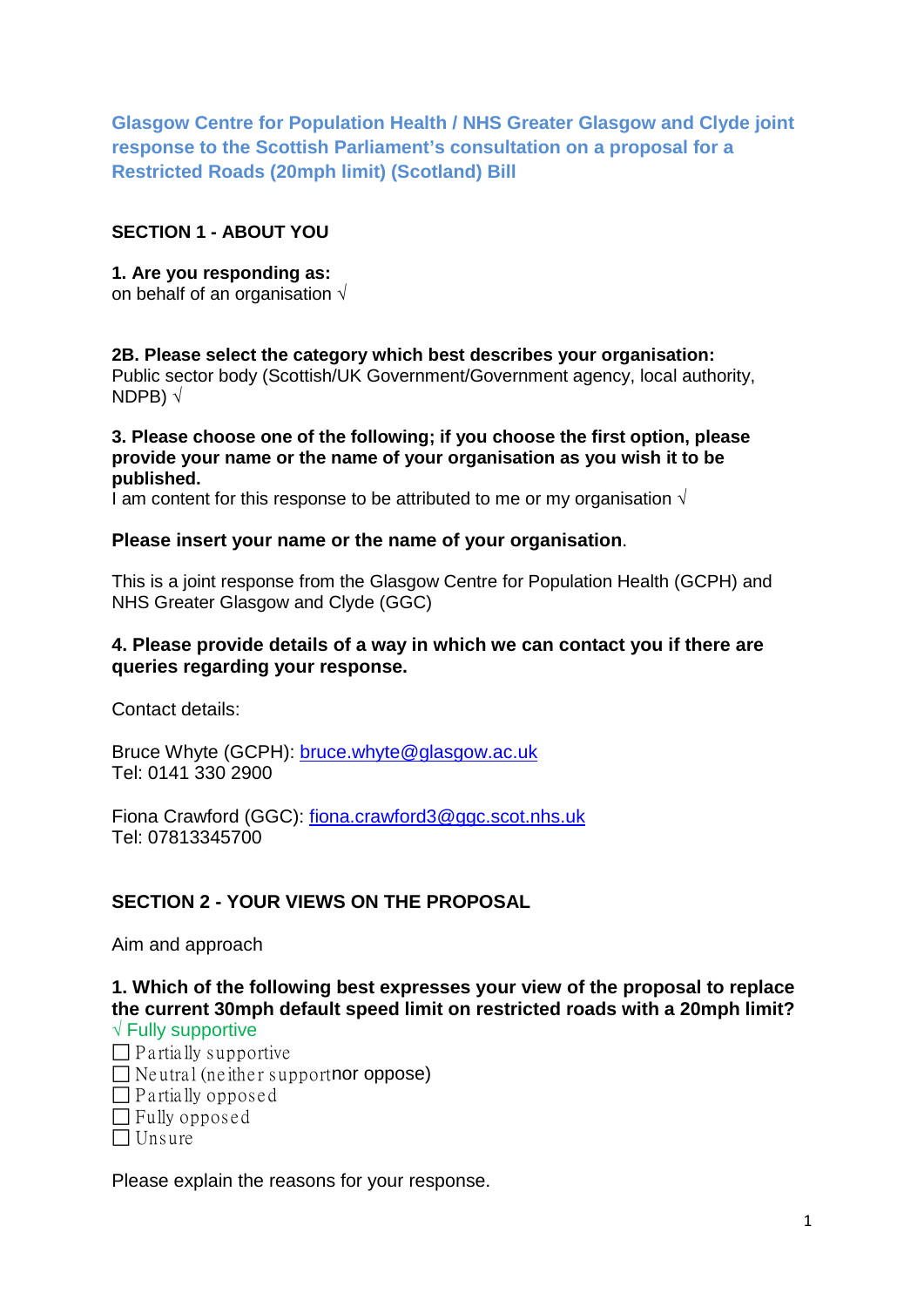**Glasgow Centre for Population Health / NHS Greater Glasgow and Clyde joint response to the Scottish Parliament's consultation on a proposal for a Restricted Roads (20mph limit) (Scotland) Bill**

## **SECTION 1 - ABOUT YOU**

**1. Are you responding as:** on behalf of an organisation  $\sqrt{ }$ 

**2B. Please select the category which best describes your organisation:**  Public sector body (Scottish/UK Government/Government agency, local authority, NDPB) √

### **3. Please choose one of the following; if you choose the first option, please provide your name or the name of your organisation as you wish it to be published.**

I am content for this response to be attributed to me or my organisation  $\sqrt{ }$ 

### **Please insert your name or the name of your organisation**.

This is a joint response from the Glasgow Centre for Population Health (GCPH) and NHS Greater Glasgow and Clyde (GGC)

### **4. Please provide details of a way in which we can contact you if there are queries regarding your response.**

Contact details:

Bruce Whyte (GCPH): [bruce.whyte@glasgow.ac.uk](mailto:bruce.whyte@glasgow.ac.uk) Tel: 0141 330 2900

Fiona Crawford (GGC): [fiona.crawford3@ggc.scot.nhs.uk](mailto:fiona.crawford3@ggc.scot.nhs.uk) Tel: 07813345700

# **SECTION 2 - YOUR VIEWS ON THE PROPOSAL**

Aim and approach

**1. Which of the following best expresses your view of the proposal to replace the current 30mph default speed limit on restricted roads with a 20mph limit?**

|  | $\sqrt{\mathsf{Fully}}$ supportive |  |
|--|------------------------------------|--|
|  | ---                                |  |

- $\Box$  P a rtially supportive
- $\Box$  Neutral (neither support nor oppose)
- $\Box$  Partially opposed
- $\Box$  Fully opposed
- $\Box$  Unsure

Please explain the reasons for your response.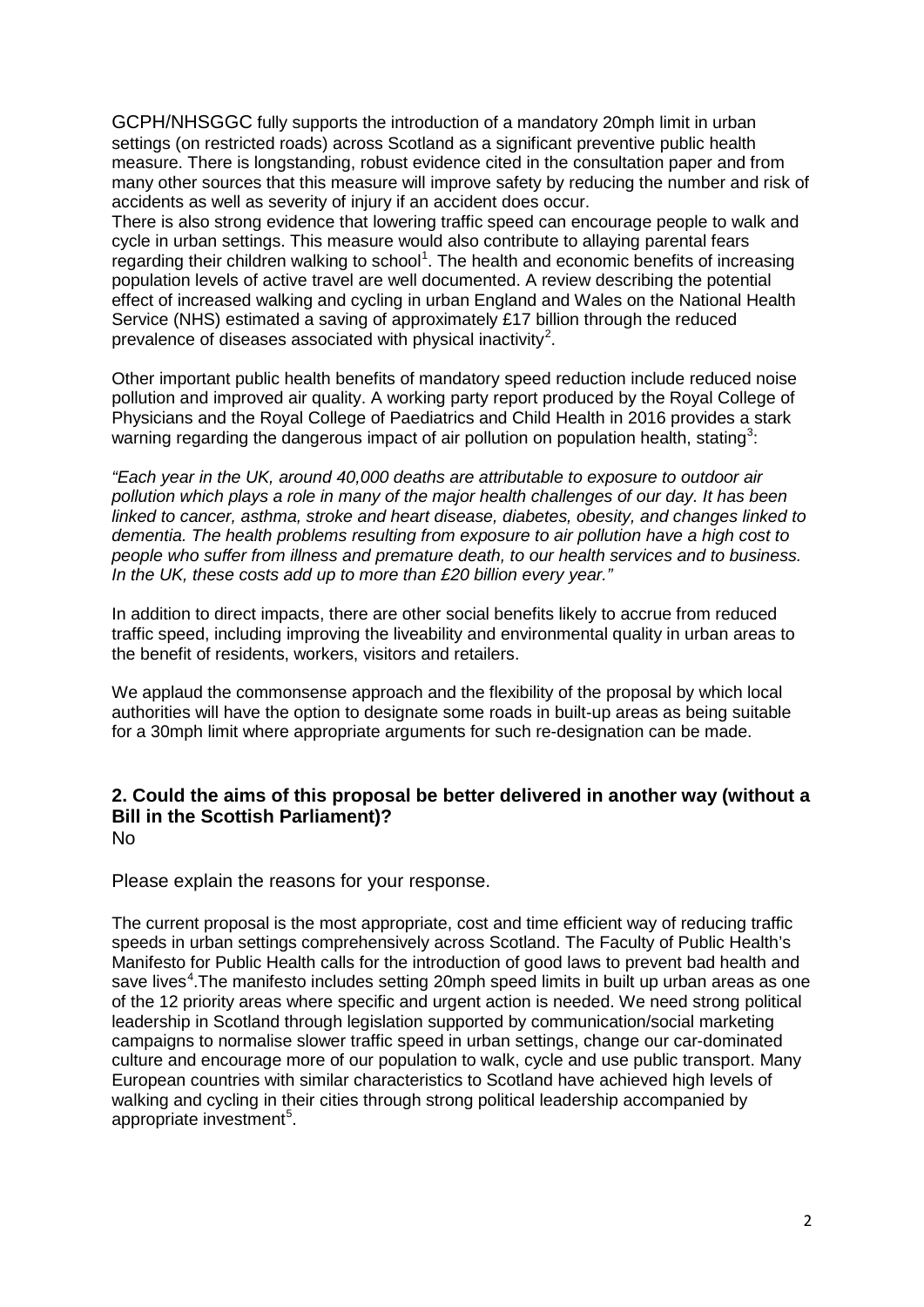GCPH/NHSGGC fully supports the introduction of a mandatory 20mph limit in urban settings (on restricted roads) across Scotland as a significant preventive public health measure. There is longstanding, robust evidence cited in the consultation paper and from many other sources that this measure will improve safety by reducing the number and risk of accidents as well as severity of injury if an accident does occur.

There is also strong evidence that lowering traffic speed can encourage people to walk and cycle in urban settings. This measure would also contribute to allaying parental fears regarding their children walking to school<sup>[1](#page-6-0)</sup>. The health and economic benefits of increasing population levels of active travel are well documented. A review describing the potential effect of increased walking and cycling in urban England and Wales on the National Health Service (NHS) estimated a saving of approximately £17 billion through the reduced prevalence of diseases associated with physical inactivity<sup>[2](#page-6-1)</sup>.

Other important public health benefits of mandatory speed reduction include reduced noise pollution and improved air quality. A working party report produced by the Royal College of Physicians and the Royal College of Paediatrics and Child Health in 2016 provides a stark warning regarding the dangerous impact of air pollution on population health, stating<sup>[3](#page-6-2)</sup>:

*"Each year in the UK, around 40,000 deaths are attributable to exposure to outdoor air pollution which plays a role in many of the major health challenges of our day. It has been linked to cancer, asthma, stroke and heart disease, diabetes, obesity, and changes linked to dementia. The health problems resulting from exposure to air pollution have a high cost to people who suffer from illness and premature death, to our health services and to business. In the UK, these costs add up to more than £20 billion every year."*

In addition to direct impacts, there are other social benefits likely to accrue from reduced traffic speed, including improving the liveability and environmental quality in urban areas to the benefit of residents, workers, visitors and retailers.

We applaud the commonsense approach and the flexibility of the proposal by which local authorities will have the option to designate some roads in built-up areas as being suitable for a 30mph limit where appropriate arguments for such re-designation can be made.

#### **2. Could the aims of this proposal be better delivered in another way (without a Bill in the Scottish Parliament)?** No

Please explain the reasons for your response.

The current proposal is the most appropriate, cost and time efficient way of reducing traffic speeds in urban settings comprehensively across Scotland. The Faculty of Public Health's Manifesto for Public Health calls for the introduction of good laws to prevent bad health and save lives<sup>[4](#page-6-3)</sup>. The manifesto includes setting 20mph speed limits in built up urban areas as one of the 12 priority areas where specific and urgent action is needed. We need strong political leadership in Scotland through legislation supported by communication/social marketing campaigns to normalise slower traffic speed in urban settings, change our car-dominated culture and encourage more of our population to walk, cycle and use public transport. Many European countries with similar characteristics to Scotland have achieved high levels of walking and cycling in their cities through strong political leadership accompanied by appropriate investment<sup>[5](#page-6-4)</sup>.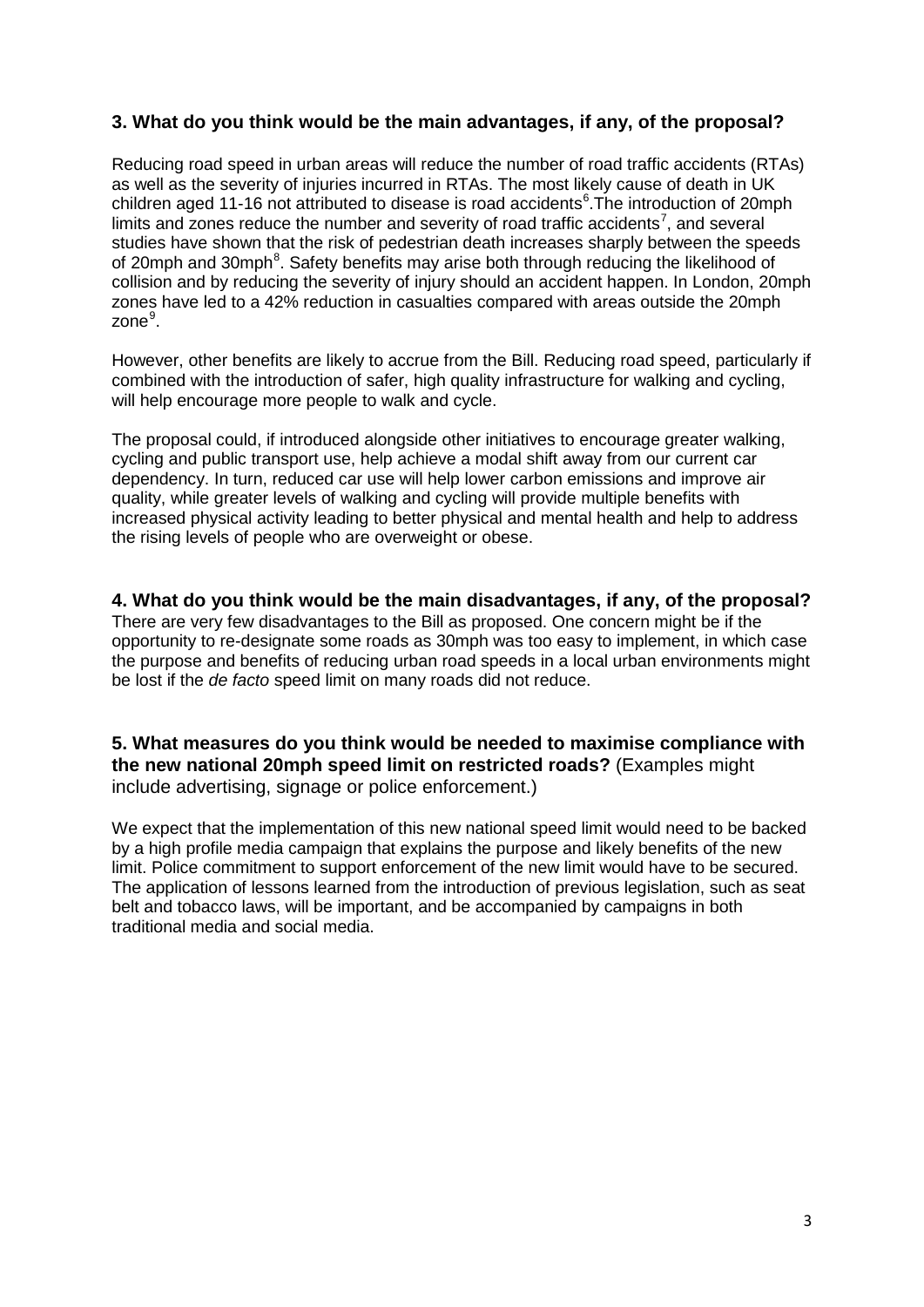## **3. What do you think would be the main advantages, if any, of the proposal?**

Reducing road speed in urban areas will reduce the number of road traffic accidents (RTAs) as well as the severity of injuries incurred in RTAs. The most likely cause of death in UK children aged 11-1[6](#page-6-5) not attributed to disease is road accidents<sup>6</sup>. The introduction of 20mph limits and zones reduce the number and severity of road traffic accidents<sup>[7](#page-6-6)</sup>, and several studies have shown that the risk of pedestrian death increases sharply between the speeds of 20mph and 30mph<sup>[8](#page-6-7)</sup>. Safety benefits may arise both through reducing the likelihood of collision and by reducing the severity of injury should an accident happen. In London, 20mph zones have led to a 42% reduction in casualties compared with areas outside the 20mph zone<sup>[9](#page-6-8)</sup>.

However, other benefits are likely to accrue from the Bill. Reducing road speed, particularly if combined with the introduction of safer, high quality infrastructure for walking and cycling, will help encourage more people to walk and cycle.

The proposal could, if introduced alongside other initiatives to encourage greater walking, cycling and public transport use, help achieve a modal shift away from our current car dependency. In turn, reduced car use will help lower carbon emissions and improve air quality, while greater levels of walking and cycling will provide multiple benefits with increased physical activity leading to better physical and mental health and help to address the rising levels of people who are overweight or obese.

**4. What do you think would be the main disadvantages, if any, of the proposal?** There are very few disadvantages to the Bill as proposed. One concern might be if the opportunity to re-designate some roads as 30mph was too easy to implement, in which case the purpose and benefits of reducing urban road speeds in a local urban environments might be lost if the *de facto* speed limit on many roads did not reduce.

**5. What measures do you think would be needed to maximise compliance with the new national 20mph speed limit on restricted roads?** (Examples might include advertising, signage or police enforcement.)

We expect that the implementation of this new national speed limit would need to be backed by a high profile media campaign that explains the purpose and likely benefits of the new limit. Police commitment to support enforcement of the new limit would have to be secured. The application of lessons learned from the introduction of previous legislation, such as seat belt and tobacco laws, will be important, and be accompanied by campaigns in both traditional media and social media.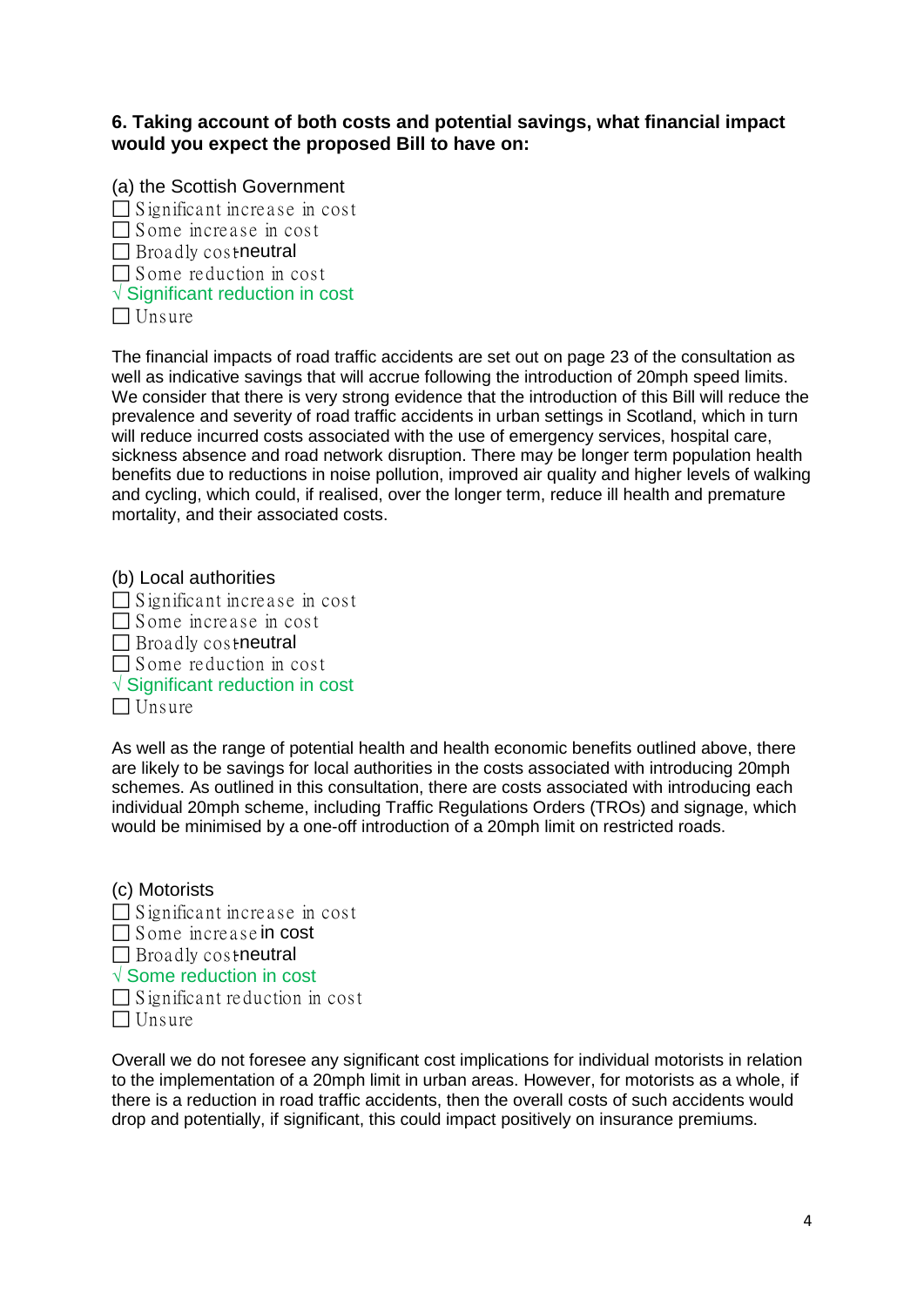**6. Taking account of both costs and potential savings, what financial impact would you expect the proposed Bill to have on:**

(a) the Scottish Government  $\Box$  S ignificant increase in cost  $\Box$  Some increase in cost  $\Box$  Broadly costneutral  $\Box$  Some reduction in cost √ Significant reduction in cost  $\Box$  Unsure

The financial impacts of road traffic accidents are set out on page 23 of the consultation as well as indicative savings that will accrue following the introduction of 20mph speed limits. We consider that there is very strong evidence that the introduction of this Bill will reduce the prevalence and severity of road traffic accidents in urban settings in Scotland, which in turn will reduce incurred costs associated with the use of emergency services, hospital care, sickness absence and road network disruption. There may be longer term population health benefits due to reductions in noise pollution, improved air quality and higher levels of walking and cycling, which could, if realised, over the longer term, reduce ill health and premature mortality, and their associated costs.

(b) Local authorities  $\Box$  Significant increase in cost  $\Box$  Some increase in cost  $\Box$  Broadly costneutral  $\Box$  Some reduction in cost √ Significant reduction in cost  $\Box$  Unsure

As well as the range of potential health and health economic benefits outlined above, there are likely to be savings for local authorities in the costs associated with introducing 20mph schemes. As outlined in this consultation, there are costs associated with introducing each individual 20mph scheme, including Traffic Regulations Orders (TROs) and signage, which would be minimised by a one-off introduction of a 20mph limit on restricted roads.

| (c) Motorists                        |
|--------------------------------------|
| $\Box$ Significant increase in cost  |
| $\Box$ Some increase in cost         |
| $\Box$ Broadly costneutral           |
| $\sqrt{ }$ Some reduction in cost    |
| $\Box$ Significant reduction in cost |
| $\Box$ Unsure                        |

Overall we do not foresee any significant cost implications for individual motorists in relation to the implementation of a 20mph limit in urban areas. However, for motorists as a whole, if there is a reduction in road traffic accidents, then the overall costs of such accidents would drop and potentially, if significant, this could impact positively on insurance premiums.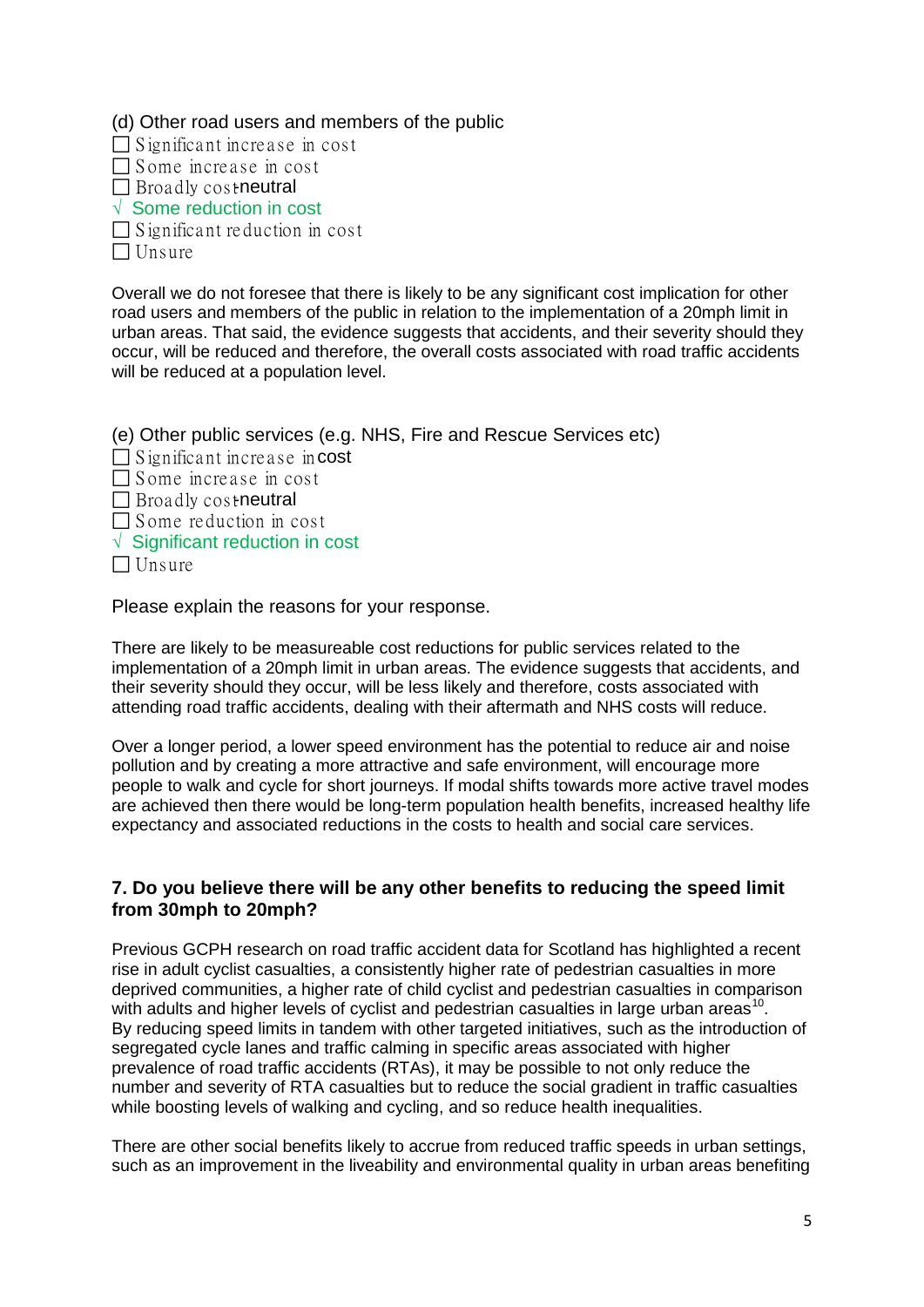(d) Other road users and members of the public

 $\Box$  Significant increase in cost

 $\Box$  Some increase in cost

 $\Box$  Broadly costneutral

√ Some reduction in cost

 $\Box$  S ignificant reduction in cost  $\Box$  Unsure

Overall we do not foresee that there is likely to be any significant cost implication for other road users and members of the public in relation to the implementation of a 20mph limit in urban areas. That said, the evidence suggests that accidents, and their severity should they occur, will be reduced and therefore, the overall costs associated with road traffic accidents will be reduced at a population level.

(e) Other public services (e.g. NHS, Fire and Rescue Services etc)  $\Box$  Significant increase incost  $\Box$  Some increase in cost  $\Box$  Broadly costneutral  $\Box$  Some reduction in cost √ Significant reduction in cost  $\Box$  Unsure

Please explain the reasons for your response.

There are likely to be measureable cost reductions for public services related to the implementation of a 20mph limit in urban areas. The evidence suggests that accidents, and their severity should they occur, will be less likely and therefore, costs associated with attending road traffic accidents, dealing with their aftermath and NHS costs will reduce.

Over a longer period, a lower speed environment has the potential to reduce air and noise pollution and by creating a more attractive and safe environment, will encourage more people to walk and cycle for short journeys. If modal shifts towards more active travel modes are achieved then there would be long-term population health benefits, increased healthy life expectancy and associated reductions in the costs to health and social care services.

## **7. Do you believe there will be any other benefits to reducing the speed limit from 30mph to 20mph?**

Previous GCPH research on road traffic accident data for Scotland has highlighted a recent rise in adult cyclist casualties, a consistently higher rate of pedestrian casualties in more deprived communities, a higher rate of child cyclist and pedestrian casualties in comparison with adults and higher levels of cyclist and pedestrian casualties in large urban areas<sup>[10](#page-6-9)</sup>. By reducing speed limits in tandem with other targeted initiatives, such as the introduction of segregated cycle lanes and traffic calming in specific areas associated with higher prevalence of road traffic accidents (RTAs), it may be possible to not only reduce the number and severity of RTA casualties but to reduce the social gradient in traffic casualties while boosting levels of walking and cycling, and so reduce health inequalities.

There are other social benefits likely to accrue from reduced traffic speeds in urban settings, such as an improvement in the liveability and environmental quality in urban areas benefiting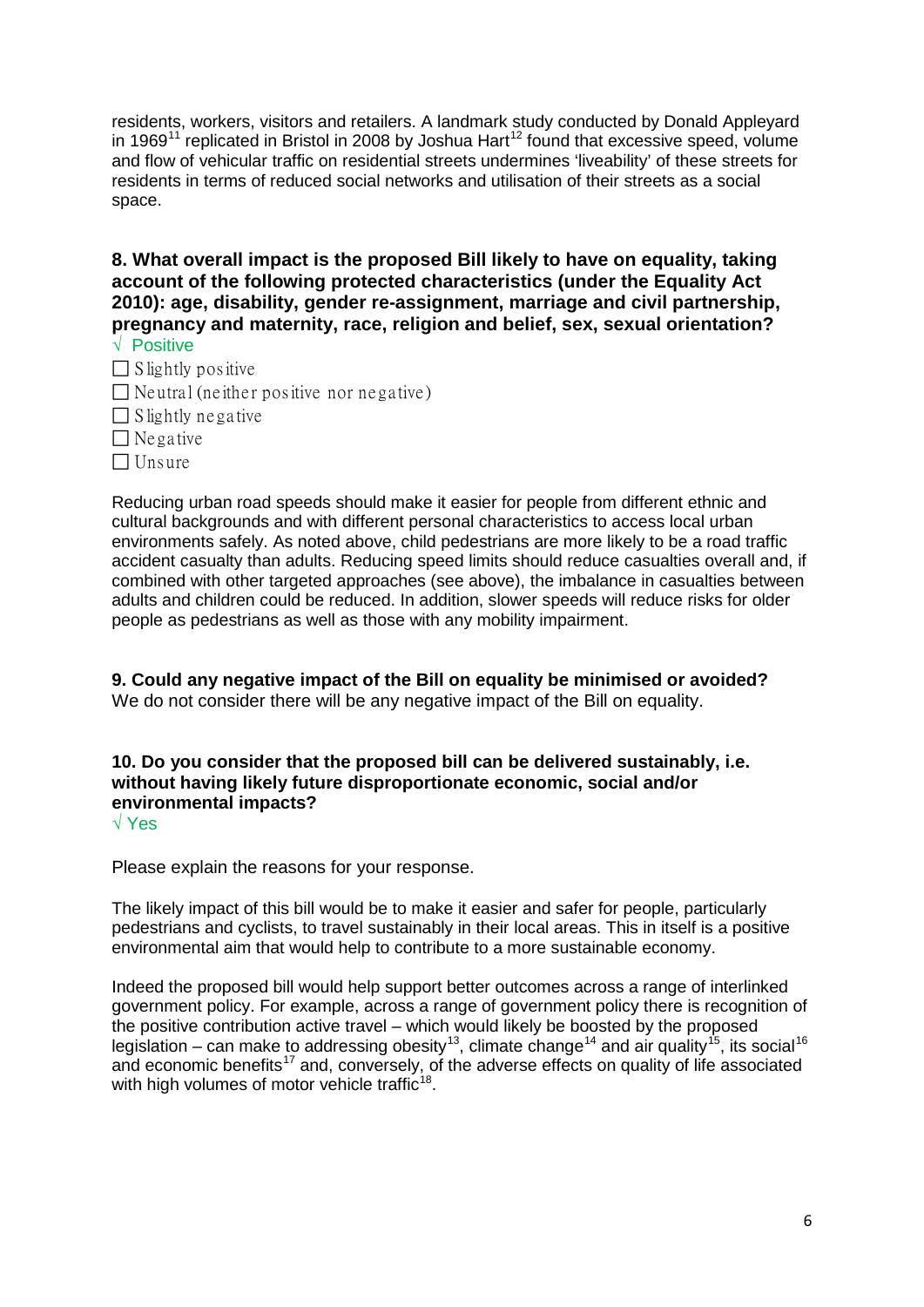residents, workers, visitors and retailers. A landmark study conducted by Donald Appleyard in 1969<sup>[11](#page-6-10)</sup> replicated in Bristol in 2008 by Joshua Hart<sup>[12](#page-6-11)</sup> found that excessive speed, volume and flow of vehicular traffic on residential streets undermines 'liveability' of these streets for residents in terms of reduced social networks and utilisation of their streets as a social space.

**8. What overall impact is the proposed Bill likely to have on equality, taking account of the following protected characteristics (under the Equality Act 2010): age, disability, gender re-assignment, marriage and civil partnership, pregnancy and maternity, race, religion and belief, sex, sexual orientation?**  √ Positive

- $\Box$  S lightly positive
- $\Box$  Neutral (neither positive nor negative)
- $\Box$  S lightly negative
- $\Box$  Ne gative
- $\Box$  Unsure

Reducing urban road speeds should make it easier for people from different ethnic and cultural backgrounds and with different personal characteristics to access local urban environments safely. As noted above, child pedestrians are more likely to be a road traffic accident casualty than adults. Reducing speed limits should reduce casualties overall and, if combined with other targeted approaches (see above), the imbalance in casualties between adults and children could be reduced. In addition, slower speeds will reduce risks for older people as pedestrians as well as those with any mobility impairment.

**9. Could any negative impact of the Bill on equality be minimised or avoided?**  We do not consider there will be any negative impact of the Bill on equality.

**10. Do you consider that the proposed bill can be delivered sustainably, i.e. without having likely future disproportionate economic, social and/or environmental impacts?** 

√ Yes

Please explain the reasons for your response.

The likely impact of this bill would be to make it easier and safer for people, particularly pedestrians and cyclists, to travel sustainably in their local areas. This in itself is a positive environmental aim that would help to contribute to a more sustainable economy.

Indeed the proposed bill would help support better outcomes across a range of interlinked government policy. For example, across a range of government policy there is recognition of the positive contribution active travel – which would likely be boosted by the proposed legislation – can make to addressing obesity<sup>[13](#page-6-12)</sup>, climate change<sup>[14](#page-6-13)</sup> and air quality<sup>[15](#page-7-0)</sup>, its social<sup>[16](#page-7-1)</sup> and economic benefits<sup>[17](#page-7-2)</sup> and, conversely, of the adverse effects on quality of life associated with high volumes of motor vehicle traffic $18$ .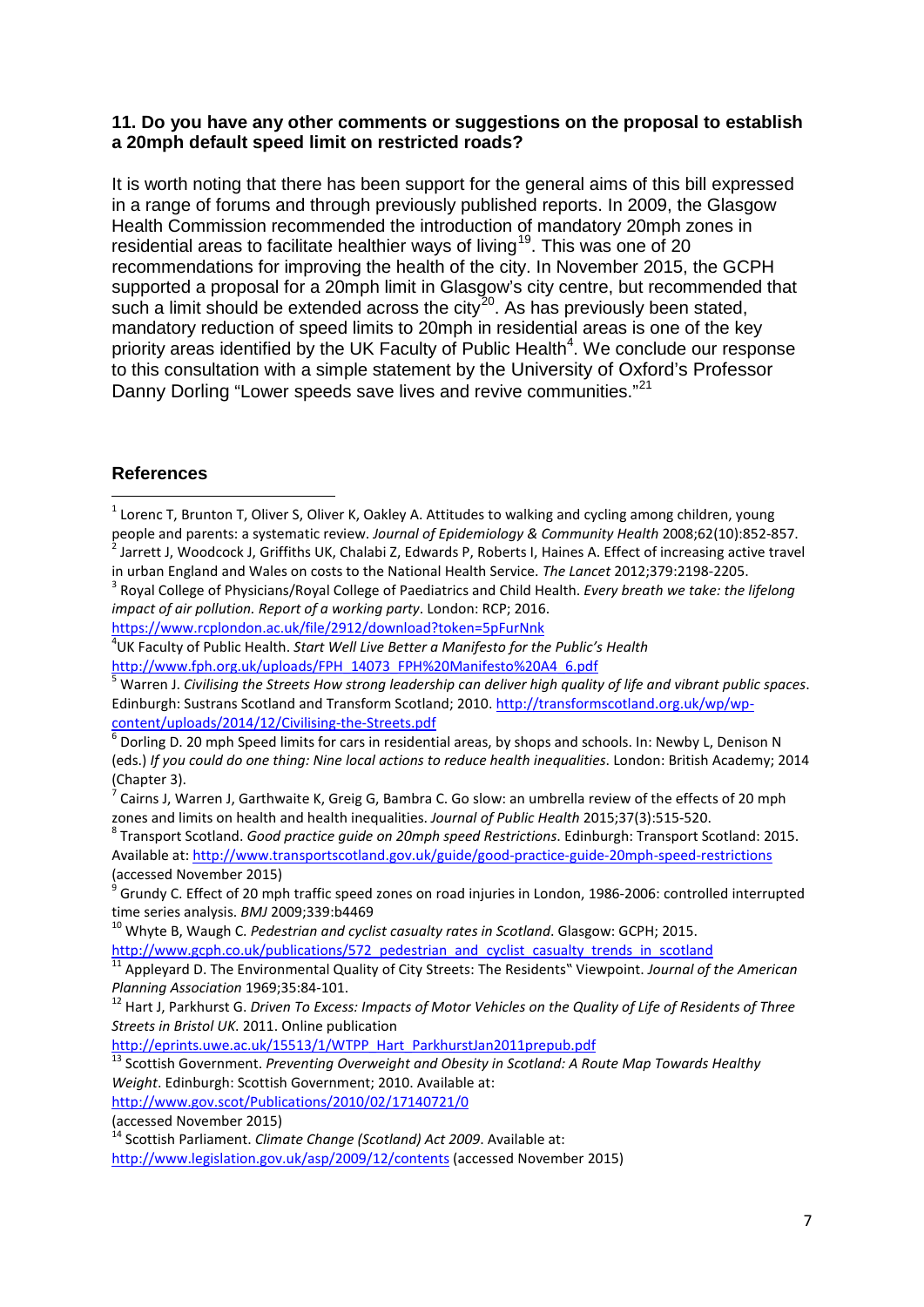#### **11. Do you have any other comments or suggestions on the proposal to establish a 20mph default speed limit on restricted roads?**

It is worth noting that there has been support for the general aims of this bill expressed in a range of forums and through previously published reports. In 2009, the Glasgow Health Commission recommended the introduction of mandatory 20mph zones in residential areas to facilitate healthier ways of living<sup>[19](#page-7-4)</sup>. This was one of 20 recommendations for improving the health of the city. In November 2015, the GCPH supported a proposal for a 20mph limit in Glasgow's city centre, but recommended that such a limit should be extended across the city<sup>20</sup>. As has previously been stated, mandatory reduction of speed limits to 20mph in residential areas is one of the key priority areas identified by the UK Faculty of Public Health<sup>4</sup>. We conclude our response to this consultation with a simple statement by the University of Oxford's Professor Danny Dorling "Lower speeds save lives and revive communities."<sup>[21](#page-7-6)</sup>

### **References**

<span id="page-6-2"></span><span id="page-6-1"></span>in urban England and Wales on costs to the National Health Service. The Lancet 2012;379:2198-2205.<br><sup>3</sup> Royal College of Physicians/Royal College of Paediatrics and Child Health. Every breath we take: the lifelong *impact of air pollution. Report of a working party*. London: RCP; 2016.

<https://www.rcplondon.ac.uk/file/2912/download?token=5pFurNnk> <sup>4</sup>

UK Faculty of Public Health. *Start Well Live Better a Manifesto for the Public's Health*

<span id="page-6-5"></span>Dorling D. 20 mph Speed limits for cars in residential areas, by shops and schools. In: Newby L, Denison N (eds.) *If you could do one thing: Nine local actions to reduce health inequalities*. London: British Academy; 2014 (Chapter 3).

<span id="page-6-7"></span><span id="page-6-6"></span>zones and limits on health and health inequalities. *Journal of Public Health* 2015;37(3):515-520.<br><sup>8</sup> Transport Scotland. *Good practice guide on 20mph speed Restrictions*. Edinburgh: Transport Scotland: 2015. Available at:<http://www.transportscotland.gov.uk/guide/good-practice-guide-20mph-speed-restrictions> (accessed November 2015)

<span id="page-6-8"></span> $9$  Grundy C. Effect of 20 mph traffic speed zones on road injuries in London, 1986-2006: controlled interrupted time series analysis. *BMJ* 2009:339:b4469

<sup>10</sup> Whyte B, Waugh C. *Pedestrian and cyclist casualty rates in Scotland*. Glasgow: GCPH; 2015.

<span id="page-6-10"></span><span id="page-6-9"></span>[http://www.gcph.co.uk/publications/572\\_pedestrian\\_and\\_cyclist\\_casualty\\_trends\\_in\\_scotland](http://www.gcph.co.uk/publications/572_pedestrian_and_cyclist_casualty_trends_in_scotland)<br><sup>11</sup> Appleyard D. The Environmental Quality of City Streets: The Residents" Viewpoint. *Journal of the American Plannina Association* 

<span id="page-6-11"></span><sup>12</sup> Hart J, Parkhurst G. *Driven To Excess: Impacts of Motor Vehicles on the Quality of Life of Residents of Three Streets in Bristol UK*. 2011. Online publication

<span id="page-6-12"></span><sup>13</sup> Scottish Government. Preventing Overweight and Obesity in Scotland: A Route Map Towards Healthy *Weight*. Edinburgh: Scottish Government; 2010. Available at: <http://www.gov.scot/Publications/2010/02/17140721/0>

(accessed November 2015)

<http://www.legislation.gov.uk/asp/2009/12/contents> (accessed November 2015)

<span id="page-6-0"></span> $1$  Lorenc T, Brunton T, Oliver S, Oliver K, Oakley A. Attitudes to walking and cycling among children, young people and parents: a systematic review. Journal of Epidemiology & Community Health 2008;62(10):852-857.<br>A Jarrett J, Woodcock J, Griffiths UK, Chalabi Z, Edwards P, Roberts I, Haines A. Effect of increasing active travel

<span id="page-6-4"></span><span id="page-6-3"></span>[http://www.fph.org.uk/uploads/FPH\\_14073\\_FPH%20Manifesto%20A4\\_6.pdf](http://www.fph.org.uk/uploads/FPH_14073_FPH%20Manifesto%20A4_6.pdf)<br><sup>5</sup> Warren J. *Civilising the Streets How strong leadership can deliver high quality of life and vibrant public spaces.* Edinburgh: Sustrans Scotland and Transform Scotland; 2010. http://transformscotland.org.uk/wp/wp-<br>content/uploads/2014/12/Civilising-the-Streets.pdf<br>
6 Decline D. 200 / 12 / Civilising-the-Streets.pdf

<sup>7</sup> Cairns J, Warren J, Garthwaite K, Greig G, Bambra C. Go slow: an umbrella review of the effects of 20 mph

<span id="page-6-13"></span><sup>&</sup>lt;sup>14</sup> Scottish Parliament. *Climate Change (Scotland) Act 2009*. Available at: